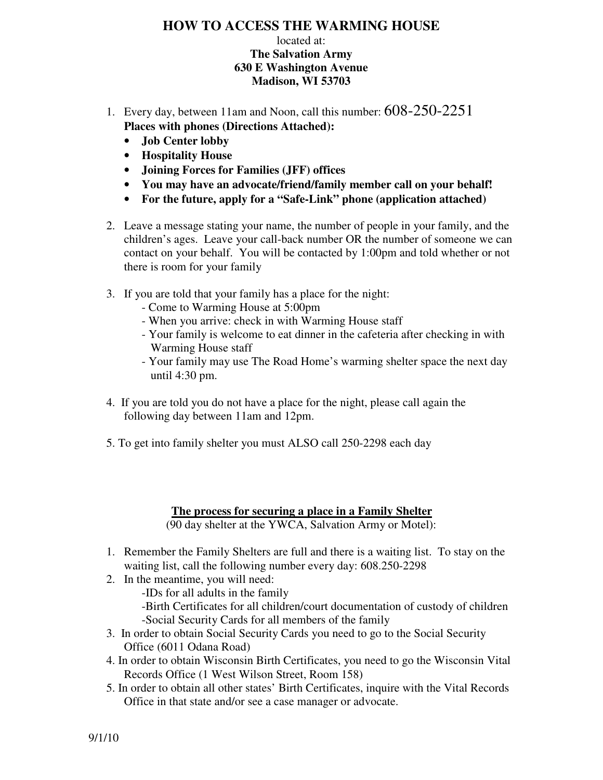# **HOW TO ACCESS THE WARMING HOUSE**

#### located at: **The Salvation Army 630 E Washington Avenue Madison, WI 53703**

- 1. Every day, between 11am and Noon, call this number: 608-250-2251  **Places with phones (Directions Attached):** 
	- **Job Center lobby**
	- **Hospitality House**
	- **Joining Forces for Families (JFF) offices**
	- **You may have an advocate/friend/family member call on your behalf!**
	- **For the future, apply for a "Safe-Link" phone (application attached)**
- 2. Leave a message stating your name, the number of people in your family, and the children's ages. Leave your call-back number OR the number of someone we can contact on your behalf. You will be contacted by 1:00pm and told whether or not there is room for your family
- 3. If you are told that your family has a place for the night:
	- Come to Warming House at 5:00pm
	- When you arrive: check in with Warming House staff
	- - Your family is welcome to eat dinner in the cafeteria after checking in with Warming House staff
	- - Your family may use The Road Home's warming shelter space the next day until 4:30 pm.
- 4. If you are told you do not have a place for the night, please call again the following day between 11am and 12pm.
- 5. To get into family shelter you must ALSO call 250-2298 each day

#### **The process for securing a place in a Family Shelter**  (90 day shelter at the YWCA, Salvation Army or Motel):

- 1. Remember the Family Shelters are full and there is a waiting list. To stay on the waiting list, call the following number every day: 608.250-2298
- 2. In the meantime, you will need:
	- -IDs for all adults in the family
	- -Birth Certificates for all children/court documentation of custody of children -Social Security Cards for all members of the family
- 3. In order to obtain Social Security Cards you need to go to the Social Security Office (6011 Odana Road)
- 4. In order to obtain Wisconsin Birth Certificates, you need to go the Wisconsin Vital Records Office (1 West Wilson Street, Room 158)
- Office in that state and/or see a case manager or advocate. 5. In order to obtain all other states' Birth Certificates, inquire with the Vital Records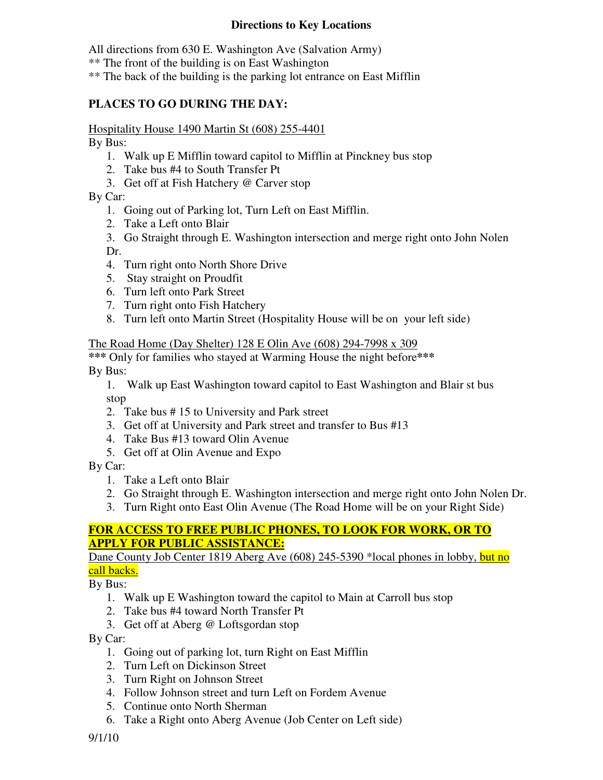### **Directions to Key Locations**

All directions from 630 E. Washington Ave (Salvation Army)

\*\* The front of the building is on East Washington

\*\* The back of the building is the parking lot entrance on East Mifflin

# **PLACES TO GO DURING THE DAY:**

Hospitality House 1490 Martin St (608) 255-4401

By Bus:

- 1. Walk up E Mifflin toward capitol to Mifflin at Pinckney bus stop
- 2. Take bus #4 to South Transfer Pt
- 3. Get off at Fish Hatchery @ Carver stop

By Car:

- 1. Going out of Parking lot, Turn Left on East Mifflin.
- 2. Take a Left onto Blair
- 3. Go Straight through E. Washington intersection and merge right onto John Nolen Dr.
- 4. Turn right onto North Shore Drive
- 5. Stay straight on Proudfit
- 6. Turn left onto Park Street
- 7. Turn right onto Fish Hatchery
- 8. Turn left onto Martin Street (Hospitality House will be on your left side)

The Road Home (Day Shelter) 128 E Olin Ave (608) 294-7998 x 309

 **\*\*\*** Only for families who stayed at Warming House the night before**\*\*\***  By Bus:

 1. Walk up East Washington toward capitol to East Washington and Blair st bus stop

- 2. Take bus # 15 to University and Park street
- 3. Get off at University and Park street and transfer to Bus #13
- 4. Take Bus #13 toward Olin Avenue
- 5. Get off at Olin Avenue and Expo

By Car:

- 1. Take a Left onto Blair
- 2. Go Straight through E. Washington intersection and merge right onto John Nolen Dr.
- 3. Turn Right onto East Olin Avenue (The Road Home will be on your Right Side)

# **FOR ACCESS TO FREE PUBLIC PHONES, TO LOOK FOR WORK, OR TO APPLY FOR PUBLIC ASSISTANCE:**

Dane County Job Center 1819 Aberg Ave (608) 245-5390 \*local phones in lobby, but no call backs.

By Bus:

- 1. Walk up E Washington toward the capitol to Main at Carroll bus stop
- 2. Take bus #4 toward North Transfer Pt
- 3. Get off at Aberg @ Loftsgordan stop

### By Car:

- 1. Going out of parking lot, turn Right on East Mifflin
- 2. Turn Left on Dickinson Street
- 3. Turn Right on Johnson Street
- 4. Follow Johnson street and turn Left on Fordem Avenue
- 5. Continue onto North Sherman
- 6. Take a Right onto Aberg Avenue (Job Center on Left side)